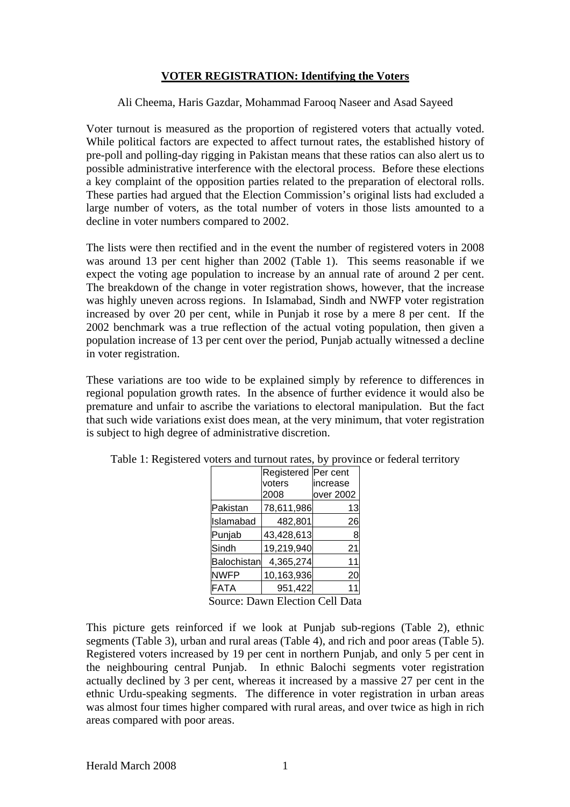## **VOTER REGISTRATION: Identifying the Voters**

Ali Cheema, Haris Gazdar, Mohammad Farooq Naseer and Asad Sayeed

Voter turnout is measured as the proportion of registered voters that actually voted. While political factors are expected to affect turnout rates, the established history of pre-poll and polling-day rigging in Pakistan means that these ratios can also alert us to possible administrative interference with the electoral process. Before these elections a key complaint of the opposition parties related to the preparation of electoral rolls. These parties had argued that the Election Commission's original lists had excluded a large number of voters, as the total number of voters in those lists amounted to a decline in voter numbers compared to 2002.

The lists were then rectified and in the event the number of registered voters in 2008 was around 13 per cent higher than 2002 (Table 1). This seems reasonable if we expect the voting age population to increase by an annual rate of around 2 per cent. The breakdown of the change in voter registration shows, however, that the increase was highly uneven across regions. In Islamabad, Sindh and NWFP voter registration increased by over 20 per cent, while in Punjab it rose by a mere 8 per cent. If the 2002 benchmark was a true reflection of the actual voting population, then given a population increase of 13 per cent over the period, Punjab actually witnessed a decline in voter registration.

These variations are too wide to be explained simply by reference to differences in regional population growth rates. In the absence of further evidence it would also be premature and unfair to ascribe the variations to electoral manipulation. But the fact that such wide variations exist does mean, at the very minimum, that voter registration is subject to high degree of administrative discretion.

|                          | Registered Per cent |           |  |
|--------------------------|---------------------|-----------|--|
|                          | voters              | increase  |  |
|                          | 2008                | over 2002 |  |
| Pakistan                 | 78,611,986          | 13        |  |
| Islamabad                | 482,801             | 26        |  |
| Punjab                   | 43,428,613          | 8         |  |
| Sindh                    | 19,219,940          | 21        |  |
| <b>Balochistan</b>       | 4,365,274           | 11        |  |
| <b>NWFP</b>              | 10,163,936          | 20        |  |
| <b>FATA</b>              | 951,422             |           |  |
| <u>ຕ - -</u><br>F1.<br>↖ |                     |           |  |

Table 1: Registered voters and turnout rates, by province or federal territory

Source: Dawn Election Cell Data

This picture gets reinforced if we look at Punjab sub-regions (Table 2), ethnic segments (Table 3), urban and rural areas (Table 4), and rich and poor areas (Table 5). Registered voters increased by 19 per cent in northern Punjab, and only 5 per cent in the neighbouring central Punjab. In ethnic Balochi segments voter registration actually declined by 3 per cent, whereas it increased by a massive 27 per cent in the ethnic Urdu-speaking segments. The difference in voter registration in urban areas was almost four times higher compared with rural areas, and over twice as high in rich areas compared with poor areas.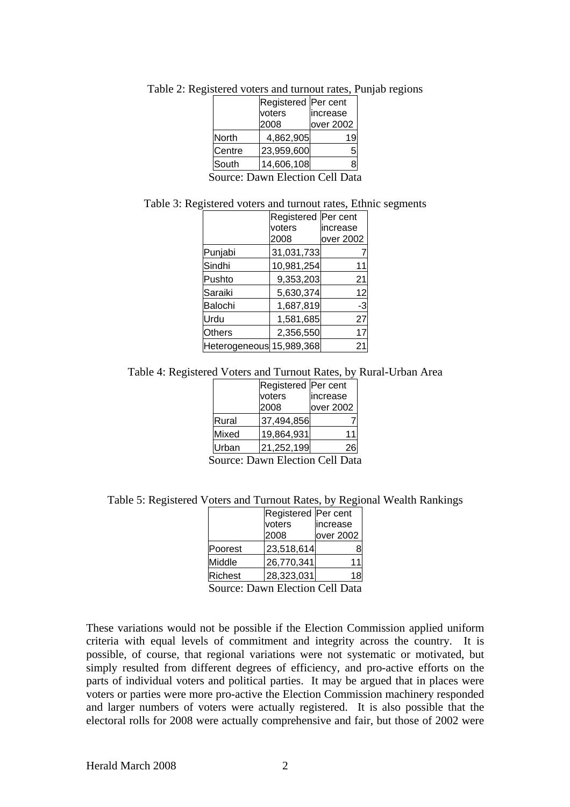|        | Registered Per cent |           |
|--------|---------------------|-----------|
|        | voters              | increase  |
|        | 2008                | over 2002 |
| North  | 4,862,905           | 19        |
| Centre | 23,959,600          |           |
| South  | 14,606,108          |           |
|        |                     |           |

Table 2: Registered voters and turnout rates, Punjab regions

Source: Dawn Election Cell Data

Table 3: Registered voters and turnout rates, Ethnic segments

|                          | Registered<br>voters<br>2008 | Per cent<br>increase<br>over 2002 |
|--------------------------|------------------------------|-----------------------------------|
| Punjabi                  | 31,031,733                   |                                   |
| Sindhi                   | 10,981,254                   |                                   |
| Pushto                   | 9,353,203                    | 21                                |
| Saraiki                  | 5,630,374                    | 12                                |
| Balochi                  | 1,687,819                    | -3                                |
| Urdu                     | 1,581,685                    | 27                                |
|                          |                              |                                   |
| <b>Others</b>            | 2,356,550                    | 17                                |
| Heterogeneous 15,989,368 |                              |                                   |

Table 4: Registered Voters and Turnout Rates, by Rural-Urban Area

|                | Registered   Per cent |           |  |
|----------------|-----------------------|-----------|--|
|                | voters                | increase  |  |
|                | 2008                  | over 2002 |  |
| Rural          | 37,494,856            |           |  |
| Mixed          | 19,864,931            | 11        |  |
| Urban          | 21,252,199            | 26        |  |
| Journ Elgation |                       |           |  |

Source: Dawn Election Cell Data

Table 5: Registered Voters and Turnout Rates, by Regional Wealth Rankings

|                | Registered Per cent |           |  |
|----------------|---------------------|-----------|--|
|                | voters              | lincrease |  |
|                | 2008                | over 2002 |  |
| Poorest        | 23,518,614          |           |  |
| Middle         | 26,770,341          |           |  |
| <b>Richest</b> | 28,323,031          | 18        |  |
| -------        |                     |           |  |

Source: Dawn Election Cell Data

These variations would not be possible if the Election Commission applied uniform criteria with equal levels of commitment and integrity across the country. It is possible, of course, that regional variations were not systematic or motivated, but simply resulted from different degrees of efficiency, and pro-active efforts on the parts of individual voters and political parties. It may be argued that in places were voters or parties were more pro-active the Election Commission machinery responded and larger numbers of voters were actually registered. It is also possible that the electoral rolls for 2008 were actually comprehensive and fair, but those of 2002 were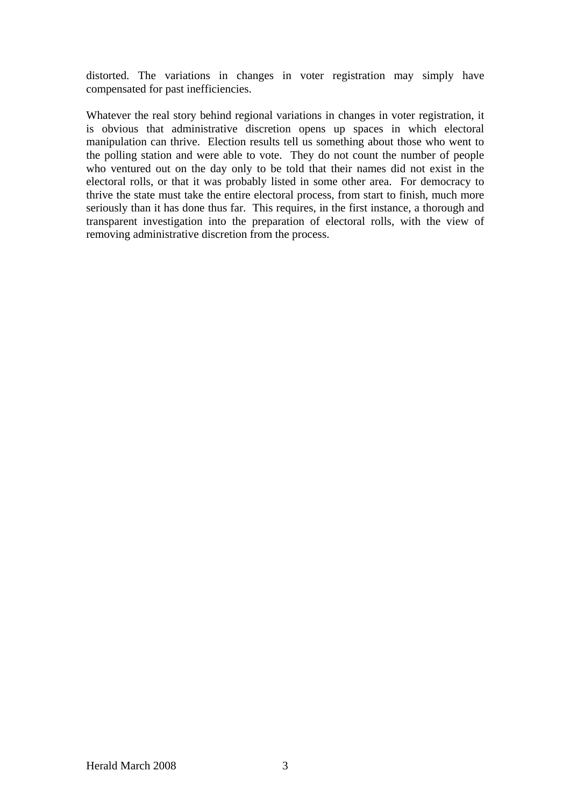distorted. The variations in changes in voter registration may simply have compensated for past inefficiencies.

Whatever the real story behind regional variations in changes in voter registration, it is obvious that administrative discretion opens up spaces in which electoral manipulation can thrive. Election results tell us something about those who went to the polling station and were able to vote. They do not count the number of people who ventured out on the day only to be told that their names did not exist in the electoral rolls, or that it was probably listed in some other area. For democracy to thrive the state must take the entire electoral process, from start to finish, much more seriously than it has done thus far. This requires, in the first instance, a thorough and transparent investigation into the preparation of electoral rolls, with the view of removing administrative discretion from the process.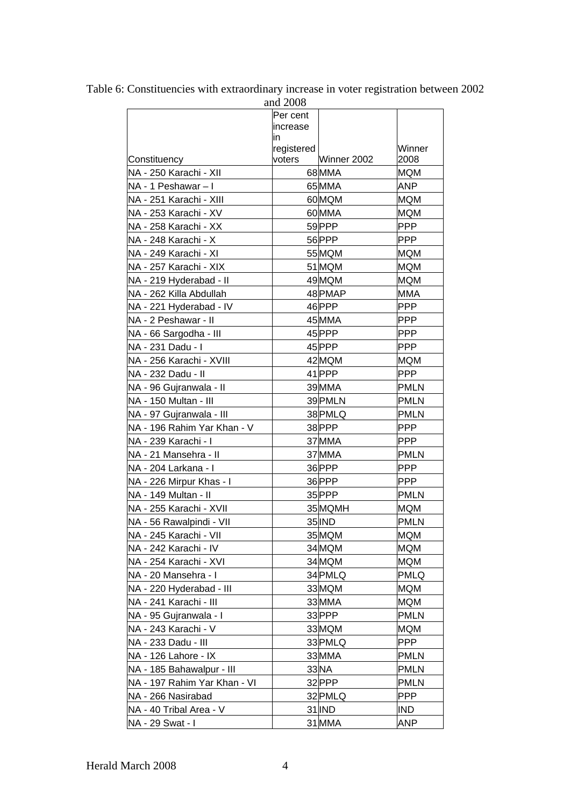|                              | and 2008             |                   |                    |
|------------------------------|----------------------|-------------------|--------------------|
|                              | Per cent             |                   |                    |
|                              | increase             |                   |                    |
|                              | in.                  |                   | Winner             |
| Constituency                 | registered<br>voters | Winner 2002       | 2008               |
| NA - 250 Karachi - XII       |                      | 68MMA             | <b>MQM</b>         |
| NA - 1 Peshawar - I          |                      | 65 MMA            | <b>ANP</b>         |
| NA - 251 Karachi - XIII      |                      | 60 <sub>MQM</sub> | <b>MQM</b>         |
|                              |                      | 60MMA             |                    |
| NA - 253 Karachi - XV        |                      |                   | <b>MQM</b>         |
| NA - 258 Karachi - XX        |                      | 59PPP             | <b>PPP</b>         |
| NA - 248 Karachi - X         |                      | 56PPP             | <b>PPP</b>         |
| NA - 249 Karachi - XI        |                      | 55 MQM            | <b>MQM</b>         |
| NA - 257 Karachi - XIX       |                      | 51 MQM            | <b>MQM</b>         |
| NA - 219 Hyderabad - II      |                      | 49 MQM            | <b>MQM</b>         |
| NA - 262 Killa Abdullah      |                      | 48 PMAP           | <b>MMA</b>         |
| NA - 221 Hyderabad - IV      |                      | 46PPP             | <b>PPP</b>         |
| NA - 2 Peshawar - II         |                      | 45MMA             | <b>PPP</b>         |
| NA - 66 Sargodha - III       |                      | 45PPP             | <b>PPP</b>         |
| NA - 231 Dadu - I            |                      | 45PPP             | <b>PPP</b>         |
| NA - 256 Karachi - XVIII     |                      | 42 MQM            | <b>MQM</b>         |
| NA - 232 Dadu - II           |                      | 41PPP             | <b>PPP</b>         |
| NA - 96 Gujranwala - II      |                      | 39 MMA            | <b>PMLN</b>        |
| NA - 150 Multan - III        |                      | 39 PMLN           | <b>PMLN</b>        |
| NA - 97 Gujranwala - III     |                      | 38 PMLQ           | <b>PMLN</b>        |
| NA - 196 Rahim Yar Khan - V  |                      | 38PPP             | <b>PPP</b>         |
| NA - 239 Karachi - I         |                      | 37MMA             | <b>PPP</b>         |
| NA - 21 Mansehra - II        |                      | 37MMA             | <b>PMLN</b>        |
| NA - 204 Larkana - I         |                      | 36PPP             | <b>PPP</b>         |
| NA - 226 Mirpur Khas - I     |                      | 36PPP             | <b>PPP</b>         |
| NA - 149 Multan - II         |                      | 35 PPP            | <b>PMLN</b>        |
| NA - 255 Karachi - XVII      |                      | 35 MQMH           | <b>MQM</b>         |
| NA - 56 Rawalpindi - VII     |                      | 35 IND            | <b>PMLN</b>        |
| NA - 245 Karachi - VII       |                      | 35 MQM            | <b>MQM</b>         |
| NA - 242 Karachi - IV        |                      | 34 MQM            | <b>MQM</b>         |
| NA - 254 Karachi - XVI       |                      | 34 MQM            |                    |
|                              |                      | 34 PMLQ           | <b>MQM</b><br>PMLQ |
| NA - 20 Mansehra - I         |                      |                   |                    |
| NA - 220 Hyderabad - III     |                      | 33 MQM            | <b>MQM</b>         |
| NA - 241 Karachi - III       |                      | 33MMA             | <b>MQM</b>         |
| NA - 95 Gujranwala - I       |                      | 33PPP             | <b>PMLN</b>        |
| NA - 243 Karachi - V         |                      | 33 MQM            | <b>MQM</b>         |
| NA - 233 Dadu - III          |                      | 33 PMLQ           | <b>PPP</b>         |
| NA - 126 Lahore - IX         |                      | 33MMA             | <b>PMLN</b>        |
| NA - 185 Bahawalpur - III    |                      | 33 <sub>NA</sub>  | <b>PMLN</b>        |
| NA - 197 Rahim Yar Khan - VI |                      | 32 PPP            | <b>PMLN</b>        |
| NA - 266 Nasirabad           |                      | 32 PMLQ           | <b>PPP</b>         |
| NA - 40 Tribal Area - V      |                      | 31 IND            | <b>IND</b>         |
| NA - 29 Swat - I             |                      | 31 MMA            | <b>ANP</b>         |

Table 6: Constituencies with extraordinary increase in voter registration between 2002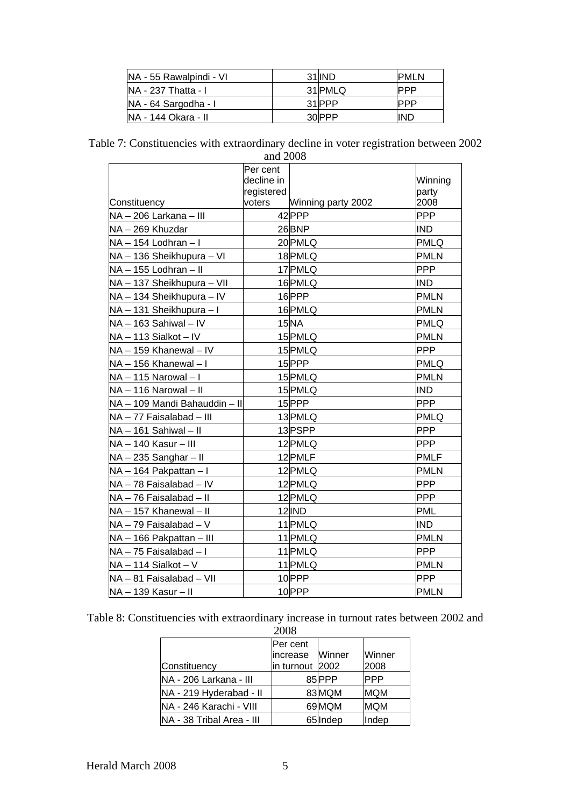| NA - 55 Rawalpindi - VI | 31 IND  | <b>PMLN</b> |
|-------------------------|---------|-------------|
| INA - 237 Thatta - I    | 31 PMLQ | IPPP        |
| NA - 64 Sargodha - I    | 31 PPP  | IPPP        |
| NA - 144 Okara - II     | 30 PPP  | IND         |

Table 7: Constituencies with extraordinary decline in voter registration between 2002

| and 2008                      |                                      |                    |                  |
|-------------------------------|--------------------------------------|--------------------|------------------|
|                               | Per cent<br>decline in<br>registered |                    | Winning<br>party |
| Constituency                  | voters                               | Winning party 2002 | 2008             |
| NA - 206 Larkana - III        |                                      | 42 PPP             | <b>PPP</b>       |
| NA-269 Khuzdar                |                                      | 26BNP              | <b>IND</b>       |
| NA - 154 Lodhran - I          |                                      | 20 PMLQ            | <b>PMLQ</b>      |
| NA - 136 Sheikhupura - VI     |                                      | 18PMLQ             | <b>PMLN</b>      |
| NA - 155 Lodhran - II         |                                      | 17 PMLQ            | <b>PPP</b>       |
| NA - 137 Sheikhupura - VII    |                                      | 16 PMLQ            | <b>IND</b>       |
| NA - 134 Sheikhupura - IV     |                                      | 16PPP              | <b>PMLN</b>      |
| NA - 131 Sheikhupura - I      |                                      | 16 PMLQ            | <b>PMLN</b>      |
| NA - 163 Sahiwal - IV         |                                      | 15 <sub>NA</sub>   | <b>PMLQ</b>      |
| NA - 113 Sialkot - IV         |                                      | 15 PMLQ            | <b>PMLN</b>      |
| NA - 159 Khanewal - IV        |                                      | 15 PMLQ            | <b>PPP</b>       |
| NA - 156 Khanewal - I         |                                      | 15PPP              | <b>PMLQ</b>      |
| NA-115 Narowal-I              |                                      | 15 PMLQ            | <b>PMLN</b>      |
| NA - 116 Narowal - II         |                                      | 15 PMLQ            | <b>IND</b>       |
| NA - 109 Mandi Bahauddin - II |                                      | 15PPP              | <b>PPP</b>       |
| NA - 77 Faisalabad - III      |                                      | 13 PMLQ            | <b>PMLQ</b>      |
| NA-161 Sahiwal-II             |                                      | 13PSPP             | <b>PPP</b>       |
| NA - 140 Kasur - III          |                                      | 12 PMLQ            | <b>PPP</b>       |
| $NA - 235$ Sanghar - II       |                                      | 12 PMLF            | <b>PMLF</b>      |
| NA - 164 Pakpattan - I        |                                      | 12 PMLQ            | <b>PMLN</b>      |
| NA - 78 Faisalabad - IV       |                                      | 12 PMLQ            | <b>PPP</b>       |
| NA - 76 Faisalabad - II       |                                      | 12 PMLQ            | <b>PPP</b>       |
| NA - 157 Khanewal - II        |                                      | $12$ IND           | PML              |
| NA - 79 Faisalabad - V        |                                      | 11 PMLQ            | <b>IND</b>       |
| NA - 166 Pakpattan - III      |                                      | 11 PMLQ            | <b>PMLN</b>      |
| NA - 75 Faisalabad - I        |                                      | 11 PMLQ            | <b>PPP</b>       |
| $NA - 114$ Sialkot - V        |                                      | 11 PMLQ            | <b>PMLN</b>      |
| NA - 81 Faisalabad - VII      |                                      | 10PPP              | <b>PPP</b>       |
| NA - 139 Kasur - II           |                                      | 10PPP              | <b>PMLN</b>      |

Table 8: Constituencies with extraordinary increase in turnout rates between 2002 and

|                           | 2008            |                   |            |
|---------------------------|-----------------|-------------------|------------|
|                           | Per cent        |                   |            |
|                           | lincrease       | Winner            | Winner     |
| Constituency              | in turnout 2002 |                   | 2008       |
| NA - 206 Larkana - III    |                 | 85 PPP            | <b>PPP</b> |
| NA - 219 Hyderabad - II   |                 | 83 MQM            | <b>MQM</b> |
| NA - 246 Karachi - VIII   |                 | 69 <sub>MQM</sub> | <b>MQM</b> |
| NA - 38 Tribal Area - III |                 | 65 Indep          | Indep      |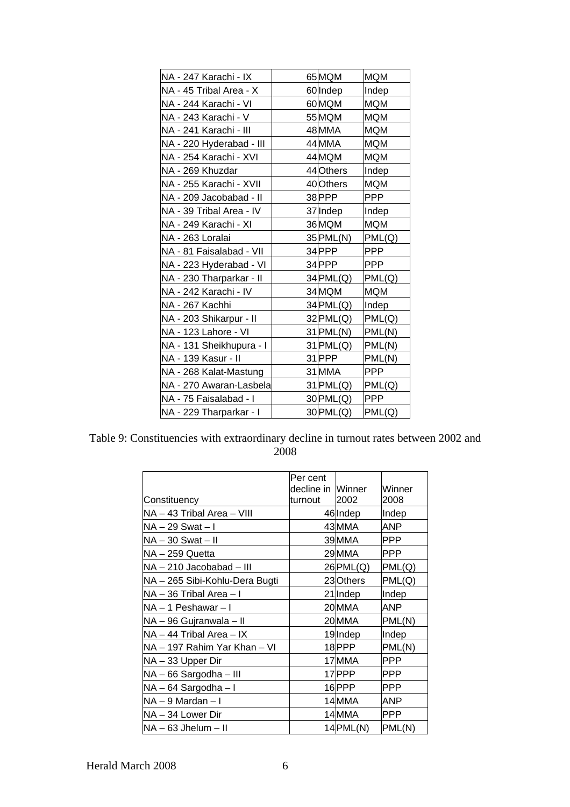| NA - 247 Karachi - IX    | 65 MQM      | <b>MQM</b> |
|--------------------------|-------------|------------|
| NA - 45 Tribal Area - X  | 60 Indep    | Indep      |
| NA - 244 Karachi - VI    | 60MQM       | <b>MQM</b> |
| NA - 243 Karachi - V     | 55 MQM      | <b>MQM</b> |
| NA - 241 Karachi - III   | 48MMA       | <b>MQM</b> |
| NA - 220 Hyderabad - III | 44 MMA      | <b>MQM</b> |
| NA - 254 Karachi - XVI   | 44 MQM      | <b>MQM</b> |
| NA - 269 Khuzdar         | 44 Others   | Indep      |
| NA - 255 Karachi - XVIII | 40 Others   | <b>MQM</b> |
| NA - 209 Jacobabad - II  | 38PPP       | <b>PPP</b> |
| NA - 39 Tribal Area - IV | 37 Indep    | Indep      |
| NA - 249 Karachi - XI    | 36 MQM      | <b>MQM</b> |
| NA - 263 Loralai         | 35 PML(N)   | PML(Q)     |
| NA - 81 Faisalabad - VII | 34PPP       | <b>PPP</b> |
| NA - 223 Hyderabad - VI  | 34PPP       | <b>PPP</b> |
| NA - 230 Tharparkar - II | 34 PML(Q)   | PML(Q)     |
| NA - 242 Karachi - IV    | 34 MQM      | <b>MQM</b> |
| NA - 267 Kachhi          | $34$ PML(Q) | Indep      |
| NA - 203 Shikarpur - II  | $32$ PML(Q) | PML(Q)     |
| NA - 123 Lahore - VI     | 31 PML(N)   | PML(N)     |
| NA - 131 Sheikhupura - I | 31 PML(Q)   | PML(N)     |
| NA - 139 Kasur - II      | 31 PPP      | PML(N)     |
| NA - 268 Kalat-Mastung   | 31MMA       | <b>PPP</b> |
| NA - 270 Awaran-Lasbela  | $31$ PML(Q) | PML(Q)     |
| NA - 75 Faisalabad - I   | 30 PML(Q)   | <b>PPP</b> |
| NA - 229 Tharparkar - I  | 30 PML(Q)   | PML(Q)     |

Table 9: Constituencies with extraordinary decline in turnout rates between 2002 and 2008

|                                | Per cent                     |             |                |
|--------------------------------|------------------------------|-------------|----------------|
| Constituency                   | decline in Winner<br>turnout | 2002        | Winner<br>2008 |
| NA - 43 Tribal Area - VIII     |                              | 46 Indep    | Indep          |
| NA – 29 Swat – I               |                              | 43 MMA      | ANP            |
| $NA - 30$ Swat $- II$          |                              | 39MMA       | <b>PPP</b>     |
| NA - 259 Quetta                |                              | 29MMA       | <b>PPP</b>     |
| NA - 210 Jacobabad - III       |                              | 26 PML(Q)   | PML(Q)         |
| NA - 265 Sibi-Kohlu-Dera Bugti |                              | 23 Others   | PML(Q)         |
| NA – 36 Tribal Area – I        |                              | 21 Indep    | Indep          |
| $NA - 1$ Peshawar $-1$         |                              | 20 MMA      | ANP            |
| NA - 96 Gujranwala - II        |                              | 20 MMA      | PML(N)         |
| NA – 44 Tribal Area – IX       |                              | 19 Indep    | Indep          |
| NA - 197 Rahim Yar Khan - VI   |                              | 18PPP       | PML(N)         |
| NA - 33 Upper Dir              |                              | 17 MMA      | <b>PPP</b>     |
| NA - 66 Sargodha - III         |                              | 17 PPP      | <b>PPP</b>     |
| NA - 64 Sargodha - I           |                              | 16PPP       | <b>PPP</b>     |
| $NA - 9$ Mardan $-1$           |                              | 14MMA       | ANP            |
| INA – 34 Lower Dir             |                              | 14MMA       | <b>PPP</b>     |
| $NA - 63$ Jhelum $-$ II        |                              | $14$ PML(N) | PML(N)         |